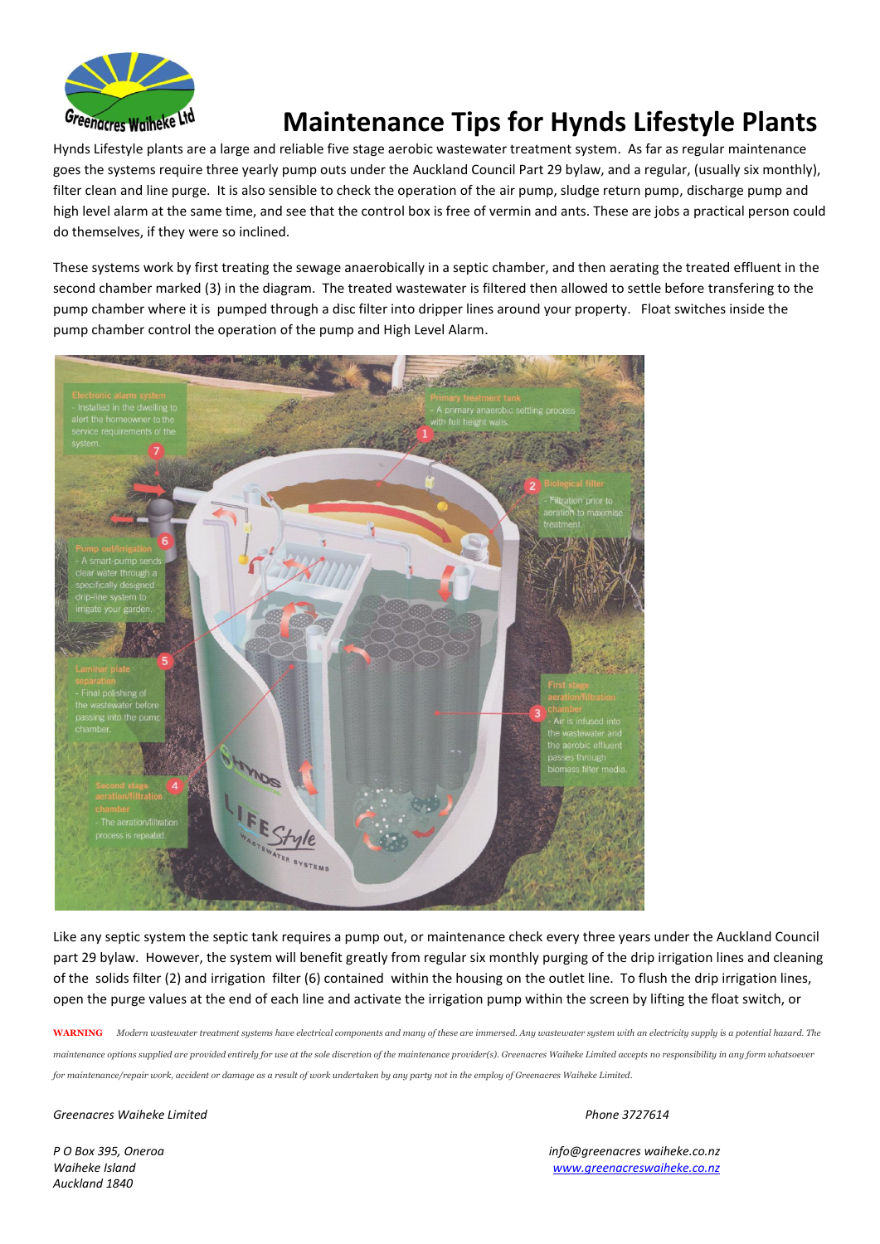

## **Maintenance Tips for Hynds Lifestyle Plants**

Hynds Lifestyle plants are a large and reliable five stage aerobic wastewater treatment system. As far as regular maintenance goes the systems require three yearly pump outs under the Auckland Council Part 29 bylaw, and a regular, (usually six monthly), filter clean and line purge. It is also sensible to check the operation of the air pump, sludge return pump, discharge pump and high level alarm at the same time, and see that the control box is free of vermin and ants. These are jobs a practical person could do themselves, if they were so inclined.

These systems work by first treating the sewage anaerobically in a septic chamber, and then aerating the treated effluent in the second chamber marked (3) in the diagram. The treated wastewater is filtered then allowed to settle before transfering to the pump chamber where it is pumped through a disc filter into dripper lines around your property. Float switches inside the pump chamber control the operation of the pump and High Level Alarm.



Like any septic system the septic tank requires a pump out, or maintenance check every three years under the Auckland Council part 29 bylaw. However, the system will benefit greatly from regular six monthly purging of the drip irrigation lines and cleaning of the solids filter (2) and irrigation filter (6) contained within the housing on the outlet line. To flush the drip irrigation lines, open the purge values at the end of each line and activate the irrigation pump within the screen by lifting the float switch, or

**WARNING** *Modern wastewater treatment systems have electrical components and many of these are immersed. Any wastewater system with an electricity supply is a potential hazard. The maintenance options supplied are provided entirely for use at the sole discretion of the maintenance provider(s). Greenacres Waiheke Limited accepts no responsibility in any form whatsoever for maintenance/repair work, accident or damage as a result of work undertaken by any party not in the employ of Greenacres Waiheke Limited*.

*Greenacres Waiheke Limited Phone 3727614* 

*Auckland 1840*

*P O Box 395, Oneroa info@greenacres waiheke.co.nz Waiheke Island www.greenacreswaiheke.co.nz*